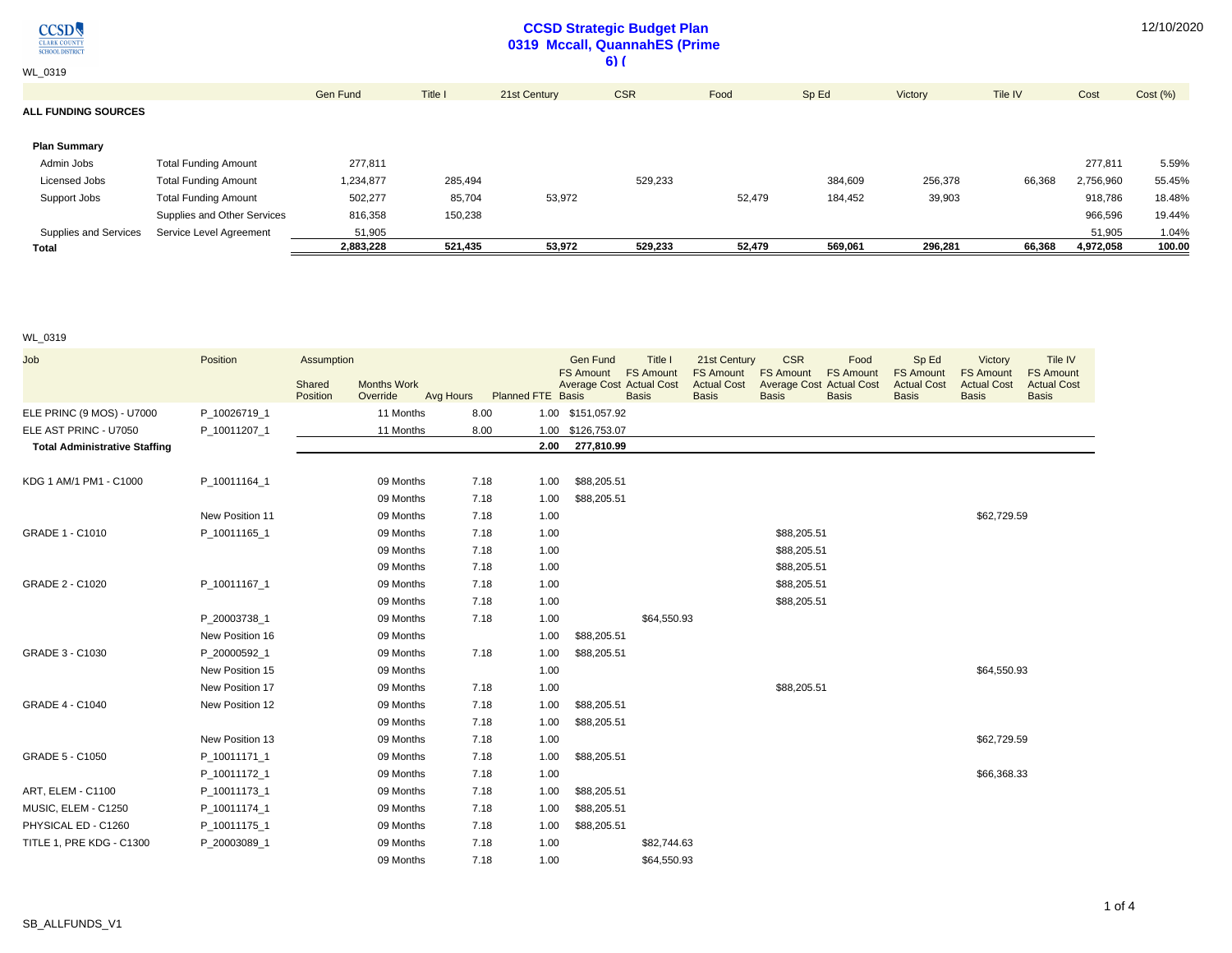$\underset{\frac{\text{CLARK COUNT}}{\text{CHOOL DISTRIC}}} {\text{CCSD}}$ 

## **CCSD Strategic Budget Plan 0319 Mccall, QuannahES (Prime 6) (**

12/10/2020

WL\_0319

|                              |                             | Gen Fund  | Title I | 21st Century | <b>CSR</b> | Food   | Sp Ed   | Victory | Tile IV | Cost      | Cost(%) |
|------------------------------|-----------------------------|-----------|---------|--------------|------------|--------|---------|---------|---------|-----------|---------|
| <b>ALL FUNDING SOURCES</b>   |                             |           |         |              |            |        |         |         |         |           |         |
|                              |                             |           |         |              |            |        |         |         |         |           |         |
| <b>Plan Summary</b>          |                             |           |         |              |            |        |         |         |         |           |         |
| Admin Jobs                   | <b>Total Funding Amount</b> | 277,811   |         |              |            |        |         |         |         | 277,811   | 5.59%   |
| Licensed Jobs                | <b>Total Funding Amount</b> | 1,234,877 | 285,494 |              | 529,233    |        | 384,609 | 256,378 | 66,368  | 2,756,960 | 55.45%  |
| Support Jobs                 | <b>Total Funding Amount</b> | 502,277   | 85,704  | 53,972       |            | 52,479 | 184,452 | 39,903  |         | 918,786   | 18.48%  |
|                              | Supplies and Other Services | 816,358   | 150,238 |              |            |        |         |         |         | 966,596   | 19.44%  |
| <b>Supplies and Services</b> | Service Level Agreement     | 51,905    |         |              |            |        |         |         |         | 51.905    | 1.04%   |
| Total                        |                             | 2.883.228 | 521.435 | 53.972       | 529.233    | 52,479 | 569.061 | 296.281 | 66.368  | 4.972.058 | 100.00  |

## WL\_0319

| Job                                  | Position        | Assumption                   |           |                          | <b>Gen Fund</b>                                     | Title I<br><b>FS Amount</b> | 21st Century<br><b>FS Amount</b> | <b>CSR</b><br><b>FS Amount</b>  | Food<br><b>FS Amount</b> | Sp Ed                                  | Victory<br><b>FS Amount</b> | Tile IV<br><b>FS Amount</b> |
|--------------------------------------|-----------------|------------------------------|-----------|--------------------------|-----------------------------------------------------|-----------------------------|----------------------------------|---------------------------------|--------------------------|----------------------------------------|-----------------------------|-----------------------------|
|                                      |                 | <b>Months Work</b><br>Shared |           |                          | <b>FS Amount</b><br><b>Average Cost Actual Cost</b> |                             | <b>Actual Cost</b>               | <b>Average Cost Actual Cost</b> |                          | <b>FS Amount</b><br><b>Actual Cost</b> | <b>Actual Cost</b>          | <b>Actual Cost</b>          |
|                                      |                 | Override<br>Position         | Avg Hours | <b>Planned FTE Basis</b> |                                                     | <b>Basis</b>                | <b>Basis</b>                     | <b>Basis</b>                    | <b>Basis</b>             | <b>Basis</b>                           | <b>Basis</b>                | <b>Basis</b>                |
| ELE PRINC (9 MOS) - U7000            | P_10026719_1    | 11 Months                    | 8.00      |                          | 1.00 \$151,057.92                                   |                             |                                  |                                 |                          |                                        |                             |                             |
| ELE AST PRINC - U7050                | P_10011207_1    | 11 Months                    | 8.00      |                          | 1.00 \$126,753.07                                   |                             |                                  |                                 |                          |                                        |                             |                             |
| <b>Total Administrative Staffing</b> |                 |                              |           | 2.00                     | 277,810.99                                          |                             |                                  |                                 |                          |                                        |                             |                             |
| KDG 1 AM/1 PM1 - C1000               | P 10011164 1    | 09 Months                    | 7.18      | 1.00                     | \$88,205.51                                         |                             |                                  |                                 |                          |                                        |                             |                             |
|                                      |                 | 09 Months                    | 7.18      | 1.00                     | \$88,205.51                                         |                             |                                  |                                 |                          |                                        |                             |                             |
|                                      | New Position 11 | 09 Months                    | 7.18      | 1.00                     |                                                     |                             |                                  |                                 |                          |                                        | \$62,729.59                 |                             |
| GRADE 1 - C1010                      | P 10011165 1    | 09 Months                    | 7.18      | 1.00                     |                                                     |                             |                                  | \$88,205.51                     |                          |                                        |                             |                             |
|                                      |                 | 09 Months                    | 7.18      | 1.00                     |                                                     |                             |                                  | \$88,205.51                     |                          |                                        |                             |                             |
|                                      |                 | 09 Months                    | 7.18      | 1.00                     |                                                     |                             |                                  | \$88,205.51                     |                          |                                        |                             |                             |
| GRADE 2 - C1020                      | P 10011167 1    | 09 Months                    | 7.18      | 1.00                     |                                                     |                             |                                  | \$88,205.51                     |                          |                                        |                             |                             |
|                                      |                 | 09 Months                    | 7.18      | 1.00                     |                                                     |                             |                                  | \$88,205.51                     |                          |                                        |                             |                             |
|                                      | P 20003738 1    | 09 Months                    | 7.18      | 1.00                     |                                                     | \$64,550.93                 |                                  |                                 |                          |                                        |                             |                             |
|                                      | New Position 16 | 09 Months                    |           | 1.00                     | \$88,205.51                                         |                             |                                  |                                 |                          |                                        |                             |                             |
| GRADE 3 - C1030                      | P_20000592_1    | 09 Months                    | 7.18      | 1.00                     | \$88,205.51                                         |                             |                                  |                                 |                          |                                        |                             |                             |
|                                      | New Position 15 | 09 Months                    |           | 1.00                     |                                                     |                             |                                  |                                 |                          |                                        | \$64,550.93                 |                             |
|                                      | New Position 17 | 09 Months                    | 7.18      | 1.00                     |                                                     |                             |                                  | \$88,205.51                     |                          |                                        |                             |                             |
| <b>GRADE 4 - C1040</b>               | New Position 12 | 09 Months                    | 7.18      | 1.00                     | \$88,205.51                                         |                             |                                  |                                 |                          |                                        |                             |                             |
|                                      |                 | 09 Months                    | 7.18      | 1.00                     | \$88,205.51                                         |                             |                                  |                                 |                          |                                        |                             |                             |
|                                      | New Position 13 | 09 Months                    | 7.18      | 1.00                     |                                                     |                             |                                  |                                 |                          |                                        | \$62,729.59                 |                             |
| GRADE 5 - C1050                      | P_10011171_1    | 09 Months                    | 7.18      | 1.00                     | \$88,205.51                                         |                             |                                  |                                 |                          |                                        |                             |                             |
|                                      | P 10011172 1    | 09 Months                    | 7.18      | 1.00                     |                                                     |                             |                                  |                                 |                          |                                        | \$66,368.33                 |                             |
| ART, ELEM - C1100                    | P_10011173_1    | 09 Months                    | 7.18      | 1.00                     | \$88,205.51                                         |                             |                                  |                                 |                          |                                        |                             |                             |
| MUSIC, ELEM - C1250                  | P 10011174 1    | 09 Months                    | 7.18      | 1.00                     | \$88,205.51                                         |                             |                                  |                                 |                          |                                        |                             |                             |
| PHYSICAL ED - C1260                  | P_10011175_1    | 09 Months                    | 7.18      | 1.00                     | \$88,205.51                                         |                             |                                  |                                 |                          |                                        |                             |                             |
| TITLE 1, PRE KDG - C1300             | P_20003089_1    | 09 Months                    | 7.18      | 1.00                     |                                                     | \$82,744.63                 |                                  |                                 |                          |                                        |                             |                             |
|                                      |                 | 09 Months                    | 7.18      | 1.00                     |                                                     | \$64,550.93                 |                                  |                                 |                          |                                        |                             |                             |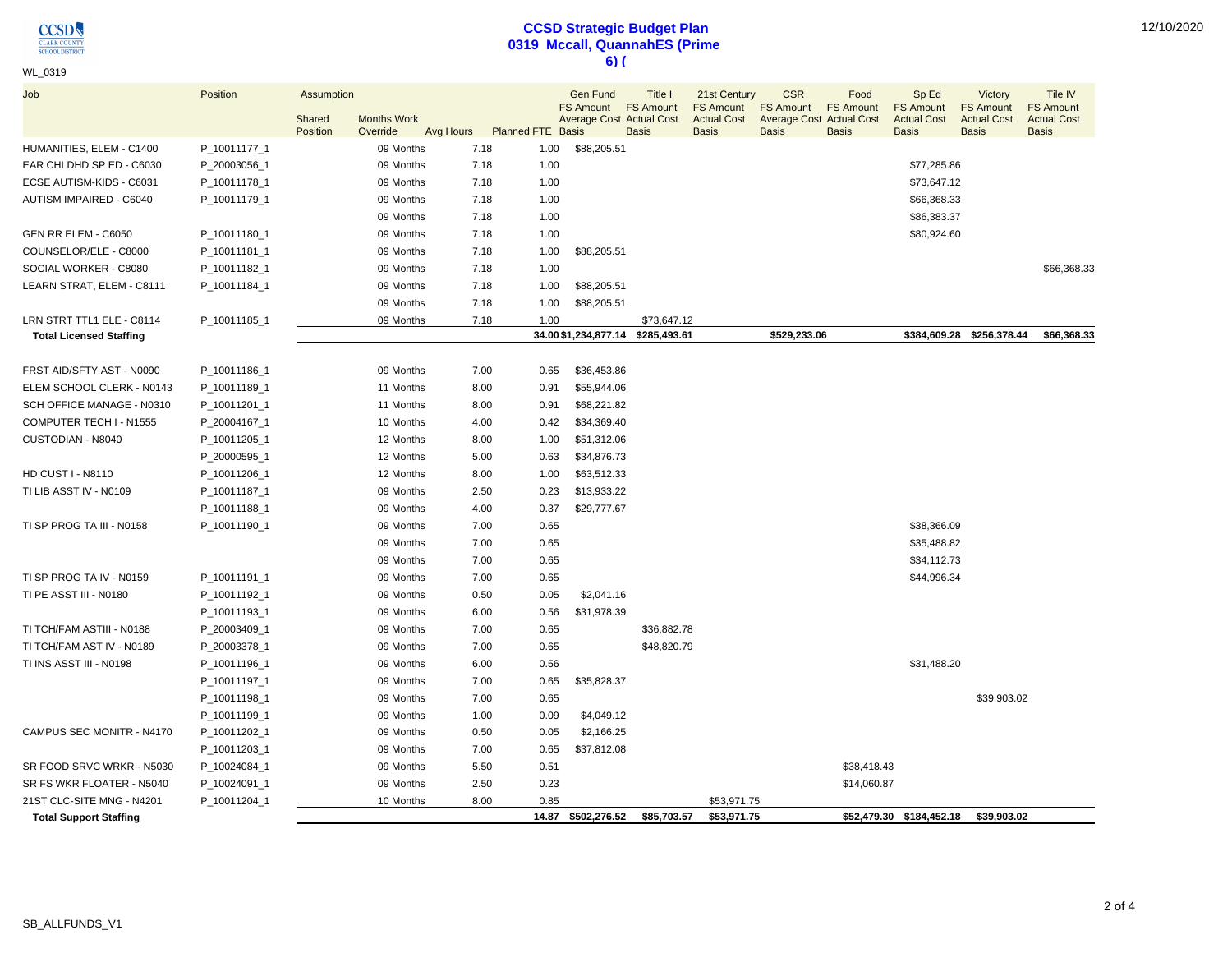$\underset{\frac{\text{CLASSD}}{\text{SCHOOL DISTRIC}}} {\underset{\text{SCHOOL DISTRIC}}{\text{OLISTRIC}}}$ 

## **CCSD Strategic Budget Plan 0319 Mccall, QuannahES (Prime 6) (**

| WL 0319 |  |
|---------|--|
|---------|--|

| Job                            | Position     | Assumption         |                                |      |                             | <b>Gen Fund</b><br><b>FS Amount</b> | Title I<br><b>FS Amount</b> | 21st Century<br><b>FS Amount</b>   | <b>CSR</b><br><b>FS Amount</b> | Food<br><b>FS Amount</b>                        | Sp Ed<br><b>FS Amount</b>          | Victory<br><b>FS Amount</b>        | Tile IV<br><b>FS Amount</b>        |
|--------------------------------|--------------|--------------------|--------------------------------|------|-----------------------------|-------------------------------------|-----------------------------|------------------------------------|--------------------------------|-------------------------------------------------|------------------------------------|------------------------------------|------------------------------------|
|                                |              | Shared<br>Position | <b>Months Work</b><br>Override |      | Avg Hours Planned FTE Basis | <b>Average Cost Actual Cost</b>     | <b>Basis</b>                | <b>Actual Cost</b><br><b>Basis</b> | <b>Basis</b>                   | <b>Average Cost Actual Cost</b><br><b>Basis</b> | <b>Actual Cost</b><br><b>Basis</b> | <b>Actual Cost</b><br><b>Basis</b> | <b>Actual Cost</b><br><b>Basis</b> |
| HUMANITIES, ELEM - C1400       | P_10011177_1 |                    | 09 Months                      | 7.18 | 1.00                        | \$88,205.51                         |                             |                                    |                                |                                                 |                                    |                                    |                                    |
| EAR CHLDHD SP ED - C6030       | P_20003056_1 |                    | 09 Months                      | 7.18 | 1.00                        |                                     |                             |                                    |                                |                                                 | \$77,285.86                        |                                    |                                    |
| ECSE AUTISM-KIDS - C6031       | P_10011178_1 |                    | 09 Months                      | 7.18 | 1.00                        |                                     |                             |                                    |                                |                                                 | \$73,647.12                        |                                    |                                    |
| AUTISM IMPAIRED - C6040        | P_10011179_1 |                    | 09 Months                      | 7.18 | 1.00                        |                                     |                             |                                    |                                |                                                 | \$66,368.33                        |                                    |                                    |
|                                |              |                    | 09 Months                      | 7.18 | 1.00                        |                                     |                             |                                    |                                |                                                 | \$86,383.37                        |                                    |                                    |
| GEN RR ELEM - C6050            | P_10011180_1 |                    | 09 Months                      | 7.18 | 1.00                        |                                     |                             |                                    |                                |                                                 | \$80,924.60                        |                                    |                                    |
| COUNSELOR/ELE - C8000          | P_10011181_1 |                    | 09 Months                      | 7.18 | 1.00                        | \$88,205.51                         |                             |                                    |                                |                                                 |                                    |                                    |                                    |
| SOCIAL WORKER - C8080          | P_10011182_1 |                    | 09 Months                      | 7.18 | 1.00                        |                                     |                             |                                    |                                |                                                 |                                    |                                    | \$66,368.33                        |
| LEARN STRAT, ELEM - C8111      | P_10011184_1 |                    | 09 Months                      | 7.18 | 1.00                        | \$88,205.51                         |                             |                                    |                                |                                                 |                                    |                                    |                                    |
|                                |              |                    | 09 Months                      | 7.18 | 1.00                        | \$88,205.51                         |                             |                                    |                                |                                                 |                                    |                                    |                                    |
| LRN STRT TTL1 ELE - C8114      | P_10011185_1 |                    | 09 Months                      | 7.18 | 1.00                        |                                     | \$73.647.12                 |                                    |                                |                                                 |                                    |                                    |                                    |
| <b>Total Licensed Staffing</b> |              |                    |                                |      |                             | 34.00 \$1,234,877.14                | \$285,493.61                |                                    | \$529,233.06                   |                                                 |                                    | \$384,609.28 \$256,378.44          | \$66,368.33                        |
|                                |              |                    |                                |      |                             |                                     |                             |                                    |                                |                                                 |                                    |                                    |                                    |
| FRST AID/SFTY AST - N0090      | P_10011186_1 |                    | 09 Months                      | 7.00 | 0.65                        | \$36,453.86                         |                             |                                    |                                |                                                 |                                    |                                    |                                    |
| ELEM SCHOOL CLERK - N0143      | P_10011189_1 |                    | 11 Months                      | 8.00 | 0.91                        | \$55,944.06                         |                             |                                    |                                |                                                 |                                    |                                    |                                    |
| SCH OFFICE MANAGE - N0310      | P 10011201 1 |                    | 11 Months                      | 8.00 | 0.91                        | \$68,221.82                         |                             |                                    |                                |                                                 |                                    |                                    |                                    |
| COMPUTER TECH I - N1555        | P_20004167_1 |                    | 10 Months                      | 4.00 | 0.42                        | \$34,369.40                         |                             |                                    |                                |                                                 |                                    |                                    |                                    |
| CUSTODIAN - N8040              | P_10011205_1 |                    | 12 Months                      | 8.00 | 1.00                        | \$51,312.06                         |                             |                                    |                                |                                                 |                                    |                                    |                                    |
|                                | P_20000595_1 |                    | 12 Months                      | 5.00 | 0.63                        | \$34,876.73                         |                             |                                    |                                |                                                 |                                    |                                    |                                    |
| <b>HD CUST I - N8110</b>       | P_10011206_1 |                    | 12 Months                      | 8.00 | 1.00                        | \$63,512.33                         |                             |                                    |                                |                                                 |                                    |                                    |                                    |
| TI LIB ASST IV - N0109         | P_10011187_1 |                    | 09 Months                      | 2.50 | 0.23                        | \$13,933.22                         |                             |                                    |                                |                                                 |                                    |                                    |                                    |
|                                | P_10011188_1 |                    | 09 Months                      | 4.00 | 0.37                        | \$29,777.67                         |                             |                                    |                                |                                                 |                                    |                                    |                                    |
| TI SP PROG TA III - N0158      | P 10011190 1 |                    | 09 Months                      | 7.00 | 0.65                        |                                     |                             |                                    |                                |                                                 | \$38,366.09                        |                                    |                                    |
|                                |              |                    | 09 Months                      | 7.00 | 0.65                        |                                     |                             |                                    |                                |                                                 | \$35,488.82                        |                                    |                                    |
|                                |              |                    | 09 Months                      | 7.00 | 0.65                        |                                     |                             |                                    |                                |                                                 | \$34,112.73                        |                                    |                                    |
| TI SP PROG TA IV - N0159       | P_10011191_1 |                    | 09 Months                      | 7.00 | 0.65                        |                                     |                             |                                    |                                |                                                 | \$44,996.34                        |                                    |                                    |
| TI PE ASST III - N0180         | P_10011192_1 |                    | 09 Months                      | 0.50 | 0.05                        | \$2,041.16                          |                             |                                    |                                |                                                 |                                    |                                    |                                    |
|                                | P_10011193_1 |                    | 09 Months                      | 6.00 | 0.56                        | \$31,978.39                         |                             |                                    |                                |                                                 |                                    |                                    |                                    |
| TI TCH/FAM ASTIII - N0188      | P_20003409_1 |                    | 09 Months                      | 7.00 | 0.65                        |                                     | \$36,882.78                 |                                    |                                |                                                 |                                    |                                    |                                    |
| TI TCH/FAM AST IV - N0189      | P_20003378_1 |                    | 09 Months                      | 7.00 | 0.65                        |                                     | \$48,820.79                 |                                    |                                |                                                 |                                    |                                    |                                    |
| TI INS ASST III - N0198        | P_10011196_1 |                    | 09 Months                      | 6.00 | 0.56                        |                                     |                             |                                    |                                |                                                 | \$31,488.20                        |                                    |                                    |
|                                | P_10011197_1 |                    | 09 Months                      | 7.00 | 0.65                        | \$35,828.37                         |                             |                                    |                                |                                                 |                                    |                                    |                                    |
|                                | P_10011198_1 |                    | 09 Months                      | 7.00 | 0.65                        |                                     |                             |                                    |                                |                                                 |                                    | \$39,903.02                        |                                    |
|                                | P_10011199_1 |                    | 09 Months                      | 1.00 | 0.09                        | \$4,049.12                          |                             |                                    |                                |                                                 |                                    |                                    |                                    |
| CAMPUS SEC MONITR - N4170      | P_10011202_1 |                    | 09 Months                      | 0.50 | 0.05                        | \$2,166.25                          |                             |                                    |                                |                                                 |                                    |                                    |                                    |
|                                | P_10011203_1 |                    | 09 Months                      | 7.00 | 0.65                        | \$37,812.08                         |                             |                                    |                                |                                                 |                                    |                                    |                                    |
| SR FOOD SRVC WRKR - N5030      | P_10024084_1 |                    | 09 Months                      | 5.50 | 0.51                        |                                     |                             |                                    |                                | \$38,418.43                                     |                                    |                                    |                                    |
| SR FS WKR FLOATER - N5040      | P_10024091_1 |                    | 09 Months                      | 2.50 | 0.23                        |                                     |                             |                                    |                                | \$14,060.87                                     |                                    |                                    |                                    |
| 21ST CLC-SITE MNG - N4201      | P_10011204_1 |                    | 10 Months                      | 8.00 | 0.85                        |                                     |                             | \$53,971.75                        |                                |                                                 |                                    |                                    |                                    |
| <b>Total Support Staffing</b>  |              |                    |                                |      |                             | 14.87 \$502,276.52                  | \$85,703.57                 | \$53,971.75                        |                                |                                                 | \$52,479.30 \$184,452.18           | \$39,903.02                        |                                    |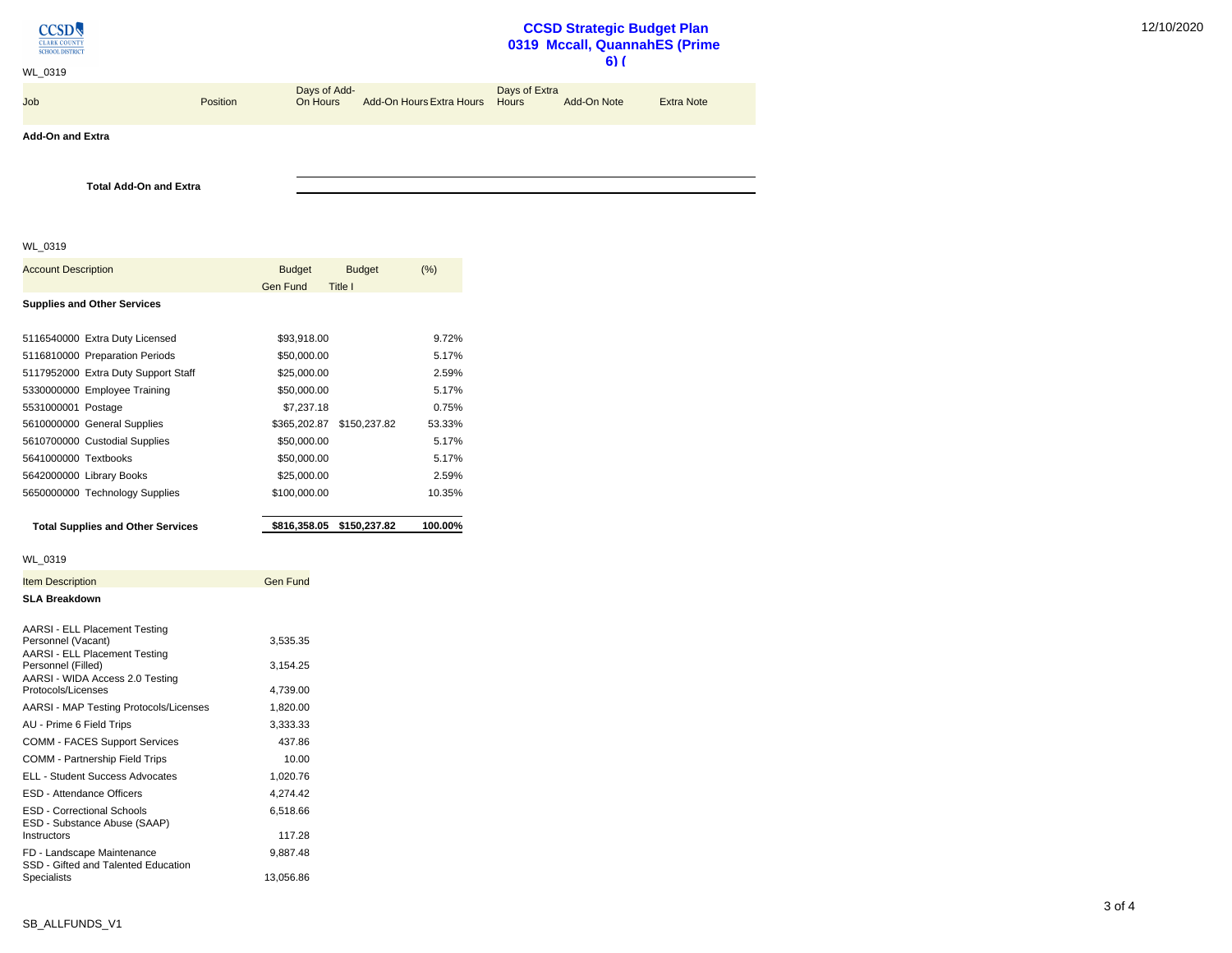

## **CCSD Strategic Budget Plan 0319 Mccall, QuannahES (Prime 6) (**

| WL 0319                 |                 |                          |                                |               | .           |                   |
|-------------------------|-----------------|--------------------------|--------------------------------|---------------|-------------|-------------------|
| <b>Job</b>              | <b>Position</b> | Days of Add-<br>On Hours | Add-On Hours Extra Hours Hours | Days of Extra | Add-On Note | <b>Extra Note</b> |
| <b>Add-On and Extra</b> |                 |                          |                                |               |             |                   |
|                         |                 |                          |                                |               |             |                   |

WL\_0319

**Total Add-On and Extra**

| <b>Account Description</b>                                                                  | <b>Budget</b><br><b>Budget</b> | $(\%)$  |
|---------------------------------------------------------------------------------------------|--------------------------------|---------|
|                                                                                             | Gen Fund<br>Title I            |         |
| <b>Supplies and Other Services</b>                                                          |                                |         |
|                                                                                             |                                |         |
| 5116540000 Extra Duty Licensed                                                              | \$93,918.00                    | 9.72%   |
| 5116810000 Preparation Periods                                                              | \$50,000.00                    | 5.17%   |
| 5117952000 Extra Duty Support Staff                                                         | \$25,000.00                    | 2.59%   |
| 5330000000 Employee Training                                                                | \$50,000.00                    | 5.17%   |
| 5531000001 Postage                                                                          | \$7,237.18                     | 0.75%   |
| 5610000000 General Supplies                                                                 | \$150,237.82<br>\$365,202.87   | 53.33%  |
| 5610700000 Custodial Supplies                                                               | \$50,000.00                    | 5.17%   |
| 5641000000 Textbooks                                                                        | \$50,000.00                    | 5.17%   |
| 5642000000 Library Books                                                                    | \$25,000.00                    | 2.59%   |
| 5650000000 Technology Supplies                                                              | \$100,000.00                   | 10.35%  |
| <b>Total Supplies and Other Services</b>                                                    | \$816,358.05<br>\$150,237.82   | 100.00% |
|                                                                                             |                                |         |
| WL 0319                                                                                     |                                |         |
| <b>Item Description</b>                                                                     | <b>Gen Fund</b>                |         |
| <b>SLA Breakdown</b>                                                                        |                                |         |
| AARSI - ELL Placement Testing<br>Personnel (Vacant)<br><b>AARSI - ELL Placement Testing</b> | 3,535.35                       |         |
| Personnel (Filled)<br>AARSI - WIDA Access 2.0 Testing                                       | 3,154.25                       |         |
| Protocols/Licenses                                                                          | 4,739.00                       |         |
| <b>AARSI - MAP Testing Protocols/Licenses</b>                                               | 1,820.00                       |         |
| AU - Prime 6 Field Trips                                                                    | 3,333.33                       |         |
| <b>COMM - FACES Support Services</b>                                                        | 437.86                         |         |
| COMM - Partnership Field Trips                                                              | 10.00                          |         |
| <b>ELL - Student Success Advocates</b>                                                      | 1,020.76                       |         |
| <b>ESD - Attendance Officers</b>                                                            | 4,274.42                       |         |
| <b>ESD - Correctional Schools</b><br>ESD - Substance Abuse (SAAP)                           | 6,518.66                       |         |
| Instructors                                                                                 | 117.28                         |         |
| FD - Landscape Maintenance<br>SSD - Gifted and Talented Education<br>Specialists            | 9,887.48<br>13,056.86          |         |
|                                                                                             |                                |         |